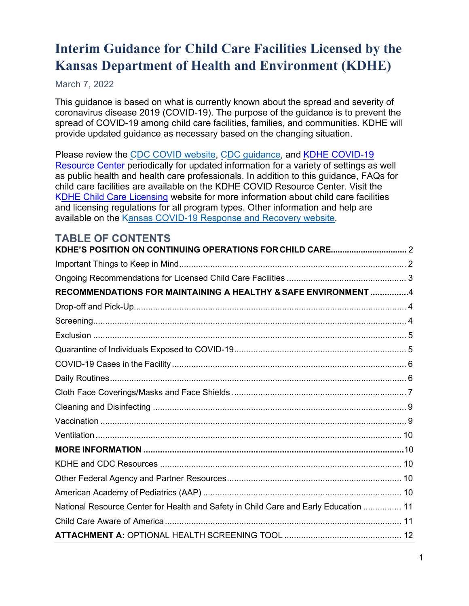# **Interim Guidance for Child Care Facilities Licensed by the Kansas Department of Health and Environment (KDHE)**

#### March 7, 2022

This guidance is based on what is currently known about the spread and severity of coronavirus disease 2019 (COVID-19). The purpose of the guidance is to prevent the spread of COVID-19 among child care facilities, families, and communities. KDHE will provide updated guidance as necessary based on the changing situation.

Please review the CDC COVID website, CDC guidance, and KDHE COVID-19 Resource Center periodically for updated information for a variety of settings as well as public health and health care professionals. In addition to this guidance, FAQs for child care facilities are available on the KDHE COVID Resource Center. Visit the KDHE Child Care Licensing website for more information about child care facilities and licensing regulations for all program types. Other information and help are available on the Kansas COVID-19 Response and Recovery website.

# **TABLE OF CONTENTS**

| RECOMMENDATIONS FOR MAINTAINING A HEALTHY & SAFE ENVIRONMENT 4                       |  |
|--------------------------------------------------------------------------------------|--|
|                                                                                      |  |
|                                                                                      |  |
|                                                                                      |  |
|                                                                                      |  |
|                                                                                      |  |
|                                                                                      |  |
|                                                                                      |  |
|                                                                                      |  |
|                                                                                      |  |
|                                                                                      |  |
|                                                                                      |  |
|                                                                                      |  |
|                                                                                      |  |
|                                                                                      |  |
| National Resource Center for Health and Safety in Child Care and Early Education  11 |  |
|                                                                                      |  |
|                                                                                      |  |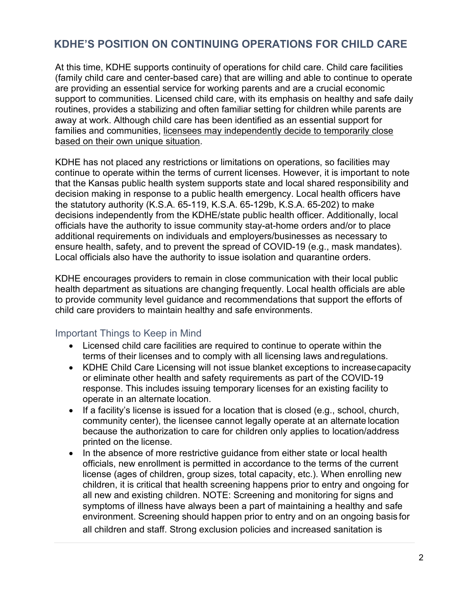# <span id="page-1-0"></span>**KDHE'S POSITION ON CONTINUING OPERATIONS FOR CHILD CARE**

At this time, KDHE supports continuity of operations for child care. Child care facilities (family child care and center-based care) that are willing and able to continue to operate are providing an essential service for working parents and are a crucial economic support to communities. Licensed child care, with its emphasis on healthy and safe daily routines, provides a stabilizing and often familiar setting for children while parents are away at work. Although child care has been identified as an essential support for families and communities, licensees may independently decide to temporarily close based on their own unique situation.

KDHE has not placed any restrictions or limitations on operations, so facilities may continue to operate within the terms of current licenses. However, it is important to note that the Kansas public health system supports state and local shared responsibility and decision making in response to a public health emergency. Local health officers have the statutory authority (K.S.A. 65-119, K.S.A. 65-129b, K.S.A. 65-202) to make decisions independently from the KDHE/state public health officer. Additionally, local officials have the authority to issue community stay-at-home orders and/or to place additional requirements on individuals and employers/businesses as necessary to ensure health, safety, and to prevent the spread of COVID-19 (e.g., mask mandates). Local officials also have the authority to issue isolation and quarantine orders.

KDHE encourages providers to remain in close communication with their local public health department as situations are changing frequently. Local health officials are able to provide community level guidance and recommendations that support the efforts of child care providers to maintain healthy and safe environments.

#### <span id="page-1-1"></span>Important Things to Keep in Mind

- Licensed child care facilities are required to continue to operate within the terms of their licenses and to comply with all licensing laws andregulations.
- KDHE Child Care Licensing will not issue blanket exceptions to increasecapacity or eliminate other health and safety requirements as part of the COVID-19 response. This includes issuing temporary licenses for an existing facility to operate in an alternate location.
- If a facility's license is issued for a location that is closed (e.g., school, church, community center), the licensee cannot legally operate at an alternate location because the authorization to care for children only applies to location/address printed on the license.
- In the absence of more restrictive guidance from either state or local health officials, new enrollment is permitted in accordance to the terms of the current license (ages of children, group sizes, total capacity, etc.). When enrolling new children, it is critical that health screening happens prior to entry and ongoing for all new and existing children. NOTE: Screening and monitoring for signs and symptoms of illness have always been a part of maintaining a healthy and safe environment. Screening should happen prior to entry and on an ongoing basis for all children and staff. Strong exclusion policies and increased sanitation is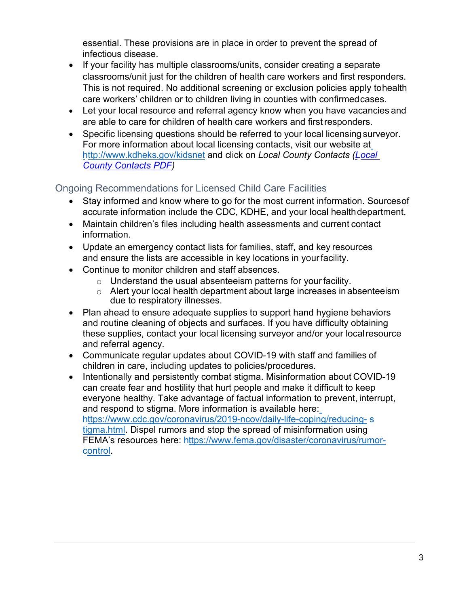essential. These provisions are in place in order to prevent the spread of infectious disease.

- If your facility has multiple classrooms/units, consider creating a separate classrooms/unit just for the children of health care workers and first responders. This is not required. No additional screening or exclusion policies apply tohealth care workers' children or to children living in counties with confirmedcases.
- Let your local resource and referral agency know when you have vacancies and are able to care for children of health care workers and firstresponders.
- Specific licensing questions should be referred to your local licensing surveyor. For more information about local licensing contacts, visit our website at http:/[/www.kdheks.gov/kidsnet](http://www.kdheks.gov/kidsnet) and click on *Local County Contacts (Local County Contacts PDF)*

<span id="page-2-0"></span>Ongoing Recommendations for Licensed Child Care Facilities

- Stay informed and know where to go for the most current information. Sources of accurate information include the CDC, KDHE, and your local healthdepartment.
- Maintain children's files including health assessments and current contact information.
- Update an emergency contact lists for families, staff, and key resources and ensure the lists are accessible in key locations in yourfacility.
- Continue to monitor children and staff absences.
	- o Understand the usual absenteeism patterns for yourfacility.
	- o Alert your local health department about large increases inabsenteeism due to respiratory illnesses.
- Plan ahead to ensure adequate supplies to support hand hygiene behaviors and routine cleaning of objects and surfaces. If you have difficulty obtaining these supplies, contact your local licensing surveyor and/or your localresource and referral agency.
- Communicate regular updates about COVID-19 with staff and families of children in care, including updates to policies/procedures.
- Intentionally and persistently combat stigma. Misinformation about COVID-19 can create fear and hostility that hurt people and make it difficult to keep everyone healthy. Take advantage of factual information to prevent, interrupt, and respond to stigma. More information is available here: https:/[/www.cdc.gov/coronavirus/2019-ncov/daily-life-coping/reducing-](http://www.cdc.gov/coronavirus/2019-ncov/daily-life-coping/reducing-) s tigma.html. Dispel rumors and stop the spread of misinformation using FEMA's resources here: https:/[/www.fema.gov/disaster/coronavirus/rumor](http://www.fema.gov/disaster/coronavirus/rumor-)control.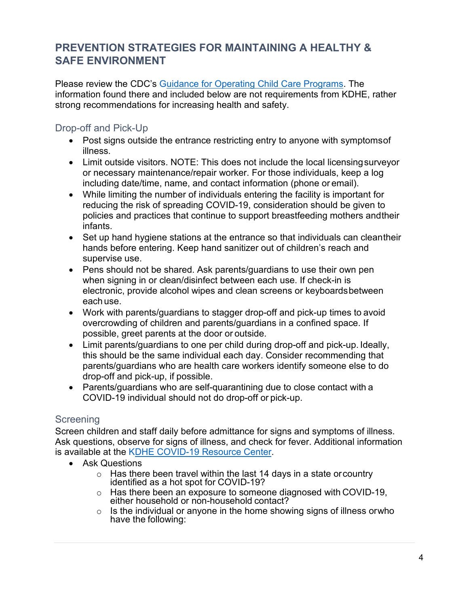# **PREVENTION STRATEGIES FOR MAINTAINING A HEALTHY & SAFE ENVIRONMENT**

Please review the CDC's Guidance for Operating Child Care Programs. The information found there and included below are not requirements from KDHE, rather strong recommendations for increasing health and safety.

#### <span id="page-3-0"></span>Drop-off and Pick-Up

- Post signs outside the entrance restricting entry to anyone with symptomsof illness.
- Limit outside visitors. NOTE: This does not include the local licensingsurveyor or necessary maintenance/repair worker. For those individuals, keep a log including date/time, name, and contact information (phone or email).
- While limiting the number of individuals entering the facility is important for reducing the risk of spreading COVID-19, consideration should be given to policies and practices that continue to support breastfeeding mothers andtheir infants.
- Set up hand hygiene stations at the entrance so that individuals can cleantheir hands before entering. Keep hand sanitizer out of children's reach and supervise use.
- Pens should not be shared. Ask parents/guardians to use their own pen when signing in or clean/disinfect between each use. If check-in is electronic, provide alcohol wipes and clean screens or keyboardsbetween each use.
- Work with parents/guardians to stagger drop-off and pick-up times to avoid overcrowding of children and parents/guardians in a confined space. If possible, greet parents at the door or outside.
- Limit parents/guardians to one per child during drop-off and pick-up. Ideally, this should be the same individual each day. Consider recommending that parents/guardians who are health care workers identify someone else to do drop-off and pick-up, if possible.
- Parents/guardians who are self-quarantining due to close contact with a COVID-19 individual should not do drop-off or pick-up.

#### <span id="page-3-1"></span>**Screening**

Screen children and staff daily before admittance for signs and symptoms of illness. Ask questions, observe for signs of illness, and check for fever. Additional information is available at the KDHE COVID-19 Resource Center.

- Ask Questions
	- <sup>o</sup> Has there been travel within the last 14 days in a state orcountry identified as a hot spot for COVID-19?
	- o Has there been an exposure to someone diagnosed with COVID-19, either household or non-household contact?
	- $\circ$  Is the individual or anyone in the home showing signs of illness orwho have the following: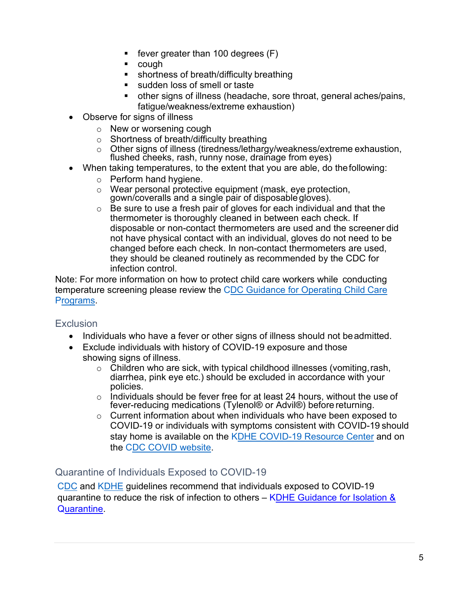- fever greater than 100 degrees (F)
- cough
- shortness of breath/difficulty breathing
- sudden loss of smell or taste
- other signs of illness (headache, sore throat, general aches/pains, fatigue/weakness/extreme exhaustion)
- Observe for signs of illness
	- o New or worsening cough
	- o Shortness of breath/difficulty breathing
	- o Other signs of illness (tiredness/lethargy/weakness/extreme exhaustion, flushed cheeks, rash, runny nose, drainage from eyes)
- When taking temperatures, to the extent that you are able, do thefollowing:
	- o Perform hand hygiene.
	- o Wear personal protective equipment (mask, eye protection, gown/coveralls and a single pair of disposable gloves).
	- $\circ$  Be sure to use a fresh pair of gloves for each individual and that the thermometer is thoroughly cleaned in between each check. If disposable or non-contact thermometers are used and the screener did not have physical contact with an individual, gloves do not need to be changed before each check. In non-contact thermometers are used, they should be cleaned routinely as recommended by the CDC for infection control.

Note: For more information on how to protect child care workers while conducting temperature screening please review the CDC Guidance for Operating Child Care Programs.

#### <span id="page-4-0"></span>**Exclusion**

- Individuals who have a fever or other signs of illness should not beadmitted.
- Exclude individuals with history of COVID-19 exposure and those showing signs of illness.
	- o Children who are sick, with typical childhood illnesses (vomiting,rash, diarrhea, pink eye etc.) should be excluded in accordance with your policies.
	- o Individuals should be fever free for at least 24 hours, without the use of fever-reducing medications (Tylenol<sup>®</sup> or Advil<sup>®</sup>) before returning.
	- $\circ$  Current information about when individuals who have been exposed to COVID-19 or individuals with symptoms consistent with COVID-19 should stay home is available on the KDHE COVID-19 Resource Center and on the CDC COVID website.

#### <span id="page-4-1"></span>Quarantine of Individuals Exposed to COVID-19

CDC and KDHE guidelines recommend that individuals exposed to COVID-19 quarantine to reduce the risk of infection to others – KDHE Guidance for Isolation & Quarantine.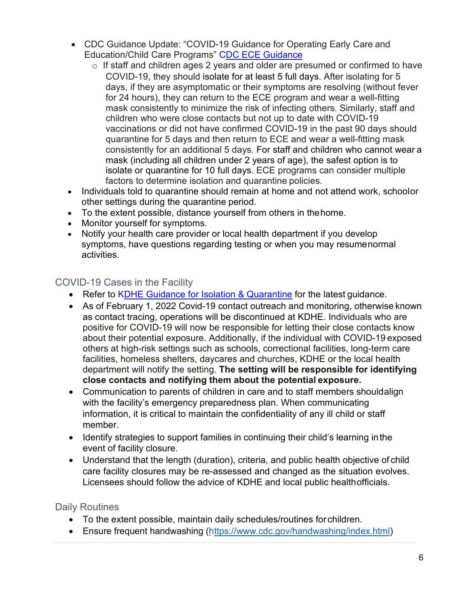- CDC Guidance Update: "COVID-19 Guidance for Operating Early Care and Education/Child Care Programs" CDC ECE Guidance
	- $\circ$  If staff and children ages 2 years and older are presumed or confirmed to have COVID-19, they should isolate for at least 5 full days. After isolating for 5 days, if they are asymptomatic or their symptoms are resolving (without fever for 24 hours), they can return to the ECE program and wear a well-fitting mask consistently to minimize the risk of infecting others. Similarly, staff and children who were close contacts but not up to date with COVID-19 vaccinations or did not have confirmed COVID-19 in the past 90 days should quarantine for 5 days and then return to ECE and wear a well-fitting mask consistently for an additional 5 days. For staff and children who cannot wear a mask (including all children under 2 years of age), the safest option is to isolate or quarantine for 10 full days. ECE programs can consider multiple factors to determine isolation and quarantine policies.
- Individuals told to quarantine should remain at home and not attend work, schoolor other settings during the quarantine period.
- To the extent possible, distance yourself from others in thehome.
- Monitor yourself for symptoms.
- Notify your health care provider or local health department if you develop symptoms, have questions regarding testing or when you may resumenormal activities.

# <span id="page-5-0"></span>COVID-19 Cases in the Facility

- Refer to KDHE Guidance for Isolation & Quarantine for the latest guidance.
- As of February 1, 2022 Covid-19 contact outreach and monitoring, otherwise known as contact tracing, operations will be discontinued at KDHE. Individuals who are positive for COVID-19 will now be responsible for letting their close contacts know about their potential exposure. Additionally, if the individual with COVID-19 exposed others at high-risk settings such as schools, correctional facilities, long-term care facilities, homeless shelters, daycares and churches, KDHE or the local health department will notify the setting. **The setting will be responsible for identifying close contacts and notifying them about the potential exposure.**
- Communication to parents of children in care and to staff members shouldalign with the facility's emergency preparedness plan. When communicating information, it is critical to maintain the confidentiality of any ill child or staff member.
- Identify strategies to support families in continuing their child's learning inthe event of facility closure.
- Understand that the length (duration), criteria, and public health objective of child care facility closures may be re-assessed and changed as the situation evolves. Licensees should follow the advice of KDHE and local public healthofficials.

#### <span id="page-5-1"></span>Daily Routines

- To the extent possible, maintain daily schedules/routines for children.
- Ensure frequent handwashing (https:/[/www.cdc.gov/handwashing/index.html\)](http://www.cdc.gov/handwashing/index.html))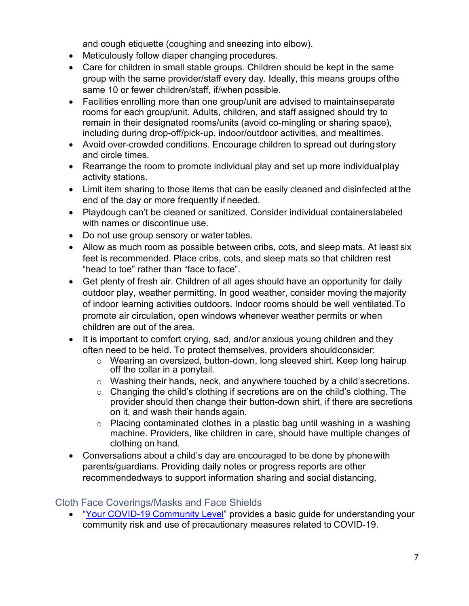and cough etiquette (coughing and sneezing into elbow).

- Meticulously follow diaper changing procedures.
- Care for children in small stable groups. Children should be kept in the same group with the same provider/staff every day. Ideally, this means groups ofthe same 10 or fewer children/staff, if/when possible.
- Facilities enrolling more than one group/unit are advised to maintainseparate rooms for each group/unit. Adults, children, and staff assigned should try to remain in their designated rooms/units (avoid co-mingling or sharing space), including during drop-off/pick-up, indoor/outdoor activities, and mealtimes.
- Avoid over-crowded conditions. Encourage children to spread out during story and circle times.
- Rearrange the room to promote individual play and set up more individualplay activity stations.
- Limit item sharing to those items that can be easily cleaned and disinfected atthe end of the day or more frequently if needed.
- Playdough can't be cleaned or sanitized. Consider individual containerslabeled with names or discontinue use.
- Do not use group sensory or water tables.
- Allow as much room as possible between cribs, cots, and sleep mats. At least six feet is recommended. Place cribs, cots, and sleep mats so that children rest "head to toe" rather than "face to face".
- Get plenty of fresh air. Children of all ages should have an opportunity for daily outdoor play, weather permitting. In good weather, consider moving the majority of indoor learning activities outdoors. Indoor rooms should be well ventilated.To promote air circulation, open windows whenever weather permits or when children are out of the area.
- It is important to comfort crying, sad, and/or anxious young children and they often need to be held. To protect themselves, providers shouldconsider:
	- o Wearing an oversized, button-down, long sleeved shirt. Keep long hairup off the collar in a ponytail.
	- o Washing their hands, neck, and anywhere touched by a child'ssecretions.
	- $\circ$  Changing the child's clothing if secretions are on the child's clothing. The provider should then change their button-down shirt, if there are secretions on it, and wash their hands again.
	- o Placing contaminated clothes in a plastic bag until washing in a washing machine. Providers, like children in care, should have multiple changes of clothing on hand.
- Conversations about a child's day are encouraged to be done by phonewith parents/guardians. Providing daily notes or progress reports are other recommendedways to support information sharing and social distancing.

#### <span id="page-6-0"></span>Cloth Face Coverings/Masks and Face Shields

• "Your COVID-19 Community Level" provides a basic guide for understanding your community risk and use of precautionary measures related to COVID-19.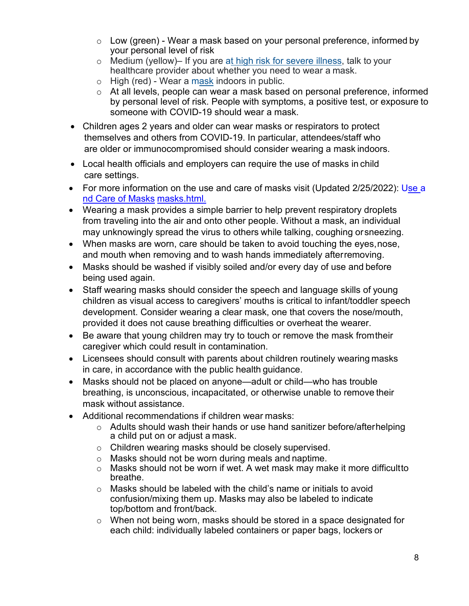- $\circ$  Low (green) Wear a mask based on your personal preference, informed by your personal level of risk
- o Medium (yellow)– If you are at high risk for severe illness, talk to your healthcare provider about whether you need to wear a mask.
- o High (red) Wear a mask indoors in public.
- o At all levels, people can wear a mask based on personal preference, informed by personal level of risk. People with symptoms, a positive test, or exposure to someone with COVID-19 should wear a mask.
- Children ages 2 years and older can wear masks or respirators to protect themselves and others from COVID-19. In particular, attendees/staff who are older or immunocompromised should consider wearing a mask indoors.
- Local health officials and employers can require the use of masks in child care settings.
- For more information on the use and care of masks visit (Updated 2/25/2022): Use a nd Care of Masks masks.html.
- Wearing a mask provides a simple barrier to help prevent respiratory droplets from traveling into the air and onto other people. Without a mask, an individual may unknowingly spread the virus to others while talking, coughing orsneezing.
- When masks are worn, care should be taken to avoid touching the eyes,nose, and mouth when removing and to wash hands immediately afterremoving.
- Masks should be washed if visibly soiled and/or every day of use and before being used again.
- Staff wearing masks should consider the speech and language skills of young children as visual access to caregivers' mouths is critical to infant/toddler speech development. Consider wearing a clear mask, one that covers the nose/mouth, provided it does not cause breathing difficulties or overheat the wearer.
- Be aware that young children may try to touch or remove the mask fromtheir caregiver which could result in contamination.
- Licensees should consult with parents about children routinely wearing masks in care, in accordance with the public health guidance.
- Masks should not be placed on anyone—adult or child—who has trouble breathing, is unconscious, incapacitated, or otherwise unable to remove their mask without assistance.
- Additional recommendations if children wear masks:
	- o Adults should wash their hands or use hand sanitizer before/afterhelping a child put on or adjust a mask.
	- o Children wearing masks should be closely supervised.
	- o Masks should not be worn during meals and naptime.
	- o Masks should not be worn if wet. A wet mask may make it more difficultto breathe.
	- o Masks should be labeled with the child's name or initials to avoid confusion/mixing them up. Masks may also be labeled to indicate top/bottom and front/back.
	- o When not being worn, masks should be stored in a space designated for each child: individually labeled containers or paper bags, lockers or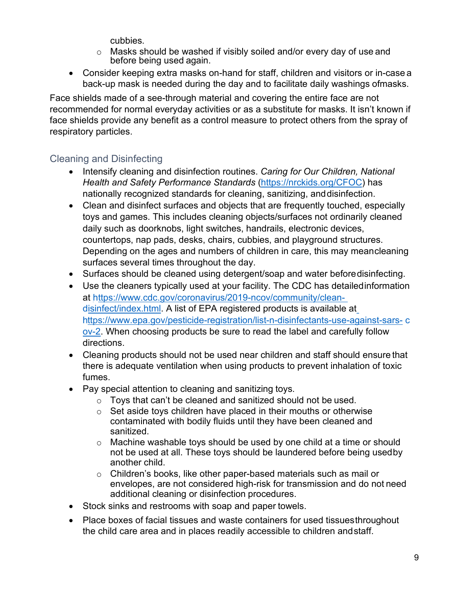cubbies.

- o Masks should be washed if visibly soiled and/or every day of use and before being used again.
- Consider keeping extra masks on-hand for staff, children and visitors or in-case a back-up mask is needed during the day and to facilitate daily washings ofmasks.

Face shields made of a see-through material and covering the entire face are not recommended for normal everyday activities or as a substitute for masks. It isn't known if face shields provide any benefit as a control measure to protect others from the spray of respiratory particles.

# <span id="page-8-0"></span>Cleaning and Disinfecting

- Intensify cleaning and disinfection routines. *Caring for Our Children, National Health and Safety Performance Standards* (https://nrckids.org/CFOC) has nationally recognized standards for cleaning, sanitizing, anddisinfection.
- Clean and disinfect surfaces and objects that are frequently touched, especially toys and games. This includes cleaning objects/surfaces not ordinarily cleaned daily such as doorknobs, light switches, handrails, electronic devices, countertops, nap pads, desks, chairs, cubbies, and playground structures. Depending on the ages and numbers of children in care, this may meancleaning surfaces several times throughout the day.
- Surfaces should be cleaned using detergent/soap and water beforedisinfecting.
- Use the cleaners typically used at your facility. The CDC has detailedinformation at https:/[/www.cdc.gov/coronavirus/2019-ncov/community/clean](http://www.cdc.gov/coronavirus/2019-ncov/community/clean-)disinfect/index.html. A list of EPA registered products is available at https:/[/www.epa.gov/pesticide-registration/list-n-disinfectants-use-against-sars-](http://www.epa.gov/pesticide-registration/list-n-disinfectants-use-against-sars-) c ov-2. When choosing products be sure to read the label and carefully follow directions.
- Cleaning products should not be used near children and staff should ensure that there is adequate ventilation when using products to prevent inhalation of toxic fumes.
- Pay special attention to cleaning and sanitizing toys.
	- o Toys that can't be cleaned and sanitized should not be used.
	- o Set aside toys children have placed in their mouths or otherwise contaminated with bodily fluids until they have been cleaned and sanitized.
	- o Machine washable toys should be used by one child at a time or should not be used at all. These toys should be laundered before being usedby another child.
	- o Children's books, like other paper-based materials such as mail or envelopes, are not considered high-risk for transmission and do not need additional cleaning or disinfection procedures.
- Stock sinks and restrooms with soap and paper towels.
- Place boxes of facial tissues and waste containers for used tissuesthroughout the child care area and in places readily accessible to children andstaff.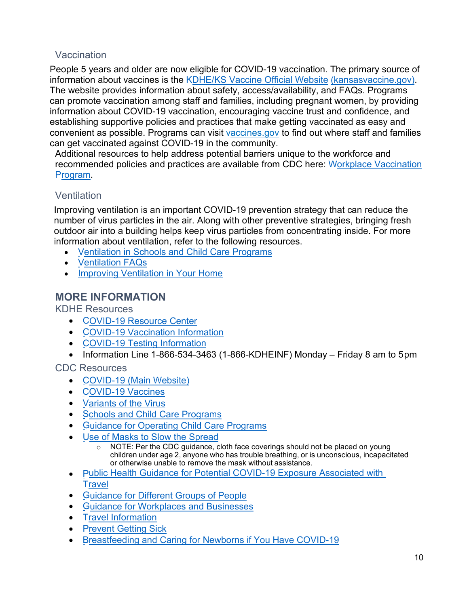#### <span id="page-9-0"></span>Vaccination

People 5 years and older are now eligible for COVID-19 vaccination. The primary source of information about vaccines is the KDHE/KS Vaccine Official Website (kansasvaccine.gov). The website provides information about safety, access/availability, and FAQs. Programs can promote vaccination among staff and families, including pregnant women, by providing information about COVID-19 vaccination, encouraging vaccine trust and confidence, and establishing supportive policies and practices that make getting vaccinated as easy and convenient as possible. Programs can visit vaccines gov to find out where staff and families can get vaccinated against COVID-19 in the community.

Additional resources to help address potential barriers unique to the workforce and recommended policies and practices are available from CDC here: Workplace Vaccination Program.

#### <span id="page-9-1"></span>Ventilation

Improving ventilation is an important COVID-19 prevention strategy that can reduce the number of virus particles in the air. Along with other preventive strategies, bringing fresh outdoor air into a building helps keep virus particles from concentrating inside. For more information about ventilation, refer to the following resources.

- V entilation in Schools and Child Care Programs
- <u>Ventilation FAQs</u>
- Improving Ventilation in Your Home

# <span id="page-9-2"></span>**MORE INFORMATION**

KDHE Resources

- C OVID-19 Resource Center
- COVID-19 Vaccination Information
- COVID-19 Testing Information
- Information Line 1-866-534-3463 (1-866-KDHEINF) Monday Friday 8 am to 5pm

CDC Resources

- COVID-19 (Main Website)
- C OVID-19 Vaccines
- Variants of the Virus
- Schools and Child Care Programs
- **Guidance for Operating Child Care Programs**
- Use of Masks to Slow the Spread
	- o NOTE: Per the CDC guidance, cloth face coverings should not be placed on young children under age 2, anyone who has trouble breathing, or is unconscious, incapacitated or otherwise unable to remove the mask without assistance.
- Public Health Guidance for Potential COVID-19 Exposure Associated with **Travel**
- G uidance for Different Groups of People
- G uidance for Workplaces and Businesses
- Travel Information
- **Prevent Getting Sick**
- Breastfeeding and Caring for Newborns if You Have COVID-19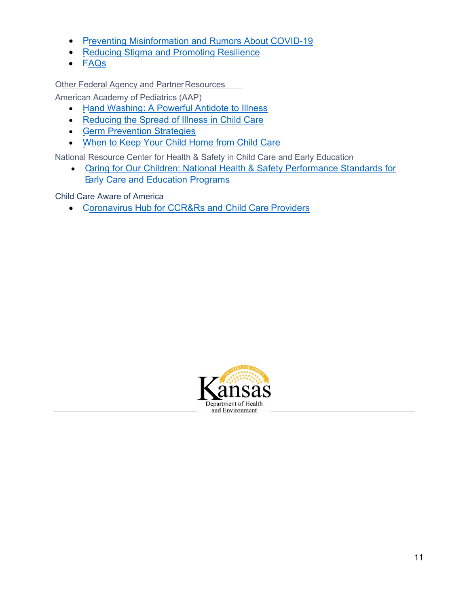- Preventing Misinformation and Rumors About COVID-19
- Reducing Stigma and Promoting Resilience
- FAQs

Other Federal Agency and Partner Resources

American Academy of Pediatrics (AAP)

- H and Washing: A Powerful Antidote to Illness
- Reducing the Spread of Illness in Child Care
- G erm Prevention Strategies
- W hen to Keep Your Child Home from Child Care

National Resource Center for Health & Safety in Child Care and Early Education

• C aring for Our Children: National Health & Safety Performance Standards for **Early Care and Education Programs** 

Child Care Aware of America

• Coronavirus Hub for CCR&Rs and Child Care Providers